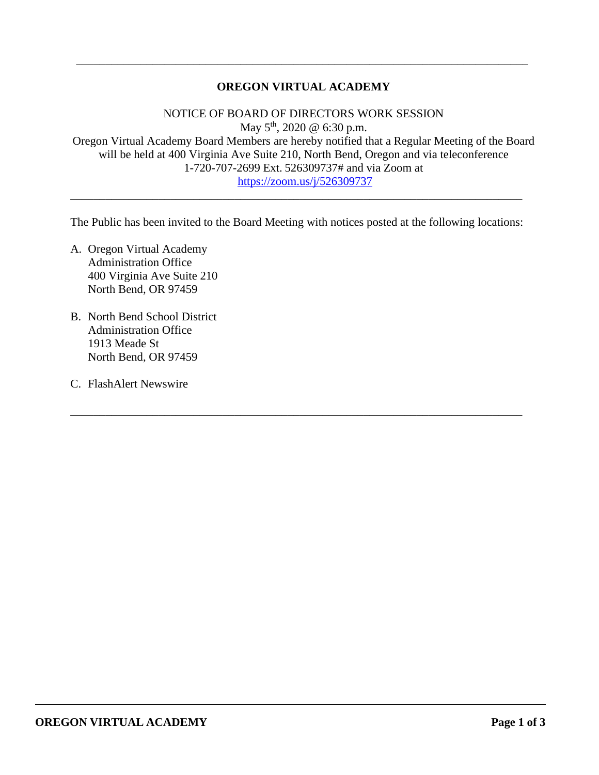# **OREGON VIRTUAL ACADEMY**

\_\_\_\_\_\_\_\_\_\_\_\_\_\_\_\_\_\_\_\_\_\_\_\_\_\_\_\_\_\_\_\_\_\_\_\_\_\_\_\_\_\_\_\_\_\_\_\_\_\_\_\_\_\_\_\_\_\_\_\_\_\_\_\_\_\_\_\_\_\_\_\_\_\_\_\_\_

NOTICE OF BOARD OF DIRECTORS WORK SESSION May 5<sup>th</sup>, 2020 @ 6:30 p.m. Oregon Virtual Academy Board Members are hereby notified that a Regular Meeting of the Board will be held at 400 Virginia Ave Suite 210, North Bend, Oregon and via teleconference 1-720-707-2699 Ext. 526309737# and via Zoom at <https://zoom.us/j/526309737>

The Public has been invited to the Board Meeting with notices posted at the following locations:

\_\_\_\_\_\_\_\_\_\_\_\_\_\_\_\_\_\_\_\_\_\_\_\_\_\_\_\_\_\_\_\_\_\_\_\_\_\_\_\_\_\_\_\_\_\_\_\_\_\_\_\_\_\_\_\_\_\_\_\_\_\_\_\_\_\_\_\_\_\_\_\_\_\_\_\_\_

\_\_\_\_\_\_\_\_\_\_\_\_\_\_\_\_\_\_\_\_\_\_\_\_\_\_\_\_\_\_\_\_\_\_\_\_\_\_\_\_\_\_\_\_\_\_\_\_\_\_\_\_\_\_\_\_\_\_\_\_\_\_\_\_\_\_\_\_\_\_\_\_\_\_\_\_\_

- A. Oregon Virtual Academy Administration Office 400 Virginia Ave Suite 210 North Bend, OR 97459
- B. North Bend School District Administration Office 1913 Meade St North Bend, OR 97459
- C. FlashAlert Newswire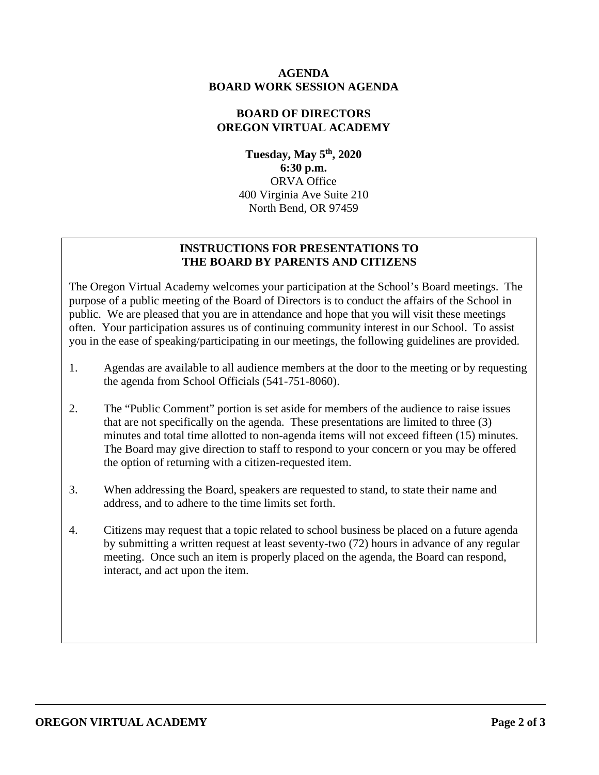## **AGENDA BOARD WORK SESSION AGENDA**

# **BOARD OF DIRECTORS OREGON VIRTUAL ACADEMY**

**Tuesday, May 5th, 2020 6:30 p.m.** ORVA Office 400 Virginia Ave Suite 210 North Bend, OR 97459

# **INSTRUCTIONS FOR PRESENTATIONS TO THE BOARD BY PARENTS AND CITIZENS**

The Oregon Virtual Academy welcomes your participation at the School's Board meetings. The purpose of a public meeting of the Board of Directors is to conduct the affairs of the School in public. We are pleased that you are in attendance and hope that you will visit these meetings often. Your participation assures us of continuing community interest in our School. To assist you in the ease of speaking/participating in our meetings, the following guidelines are provided.

- 1. Agendas are available to all audience members at the door to the meeting or by requesting the agenda from School Officials (541-751-8060).
- 2. The "Public Comment" portion is set aside for members of the audience to raise issues that are not specifically on the agenda. These presentations are limited to three (3) minutes and total time allotted to non-agenda items will not exceed fifteen (15) minutes. The Board may give direction to staff to respond to your concern or you may be offered the option of returning with a citizen-requested item.
- 3. When addressing the Board, speakers are requested to stand, to state their name and address, and to adhere to the time limits set forth.
- 4. Citizens may request that a topic related to school business be placed on a future agenda by submitting a written request at least seventy-two (72) hours in advance of any regular meeting. Once such an item is properly placed on the agenda, the Board can respond, interact, and act upon the item.